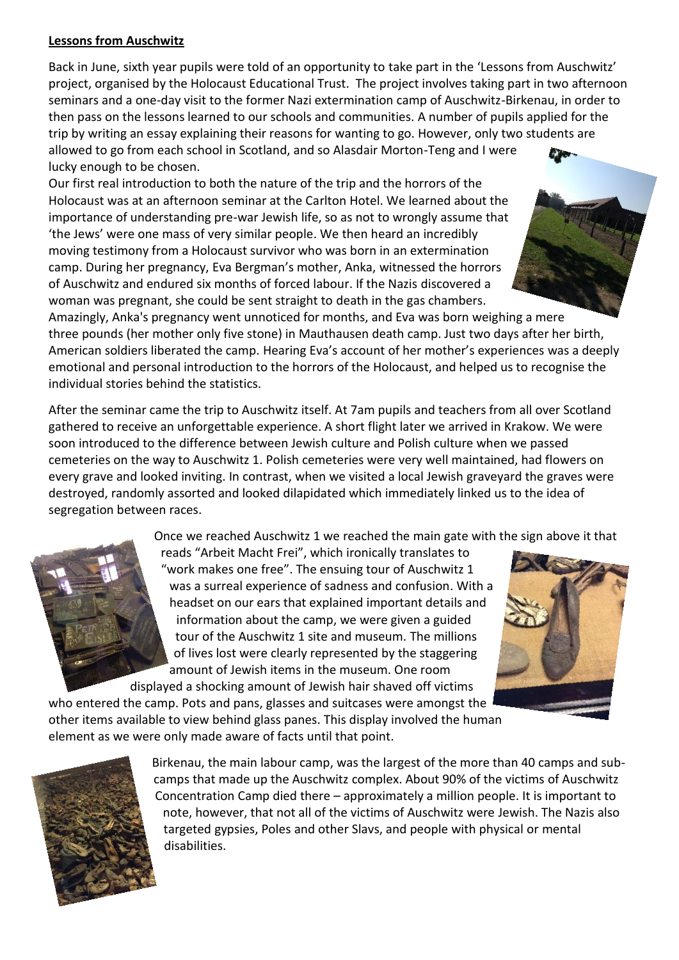## **Lessons from Auschwitz**

Back in June, sixth year pupils were told of an opportunity to take part in the 'Lessons from Auschwitz' project, organised by the Holocaust Educational Trust. The project involves taking part in two afternoon seminars and a one-day visit to the former Nazi extermination camp of Auschwitz-Birkenau, in order to then pass on the lessons learned to our schools and communities. A number of pupils applied for the trip by writing an essay explaining their reasons for wanting to go. However, only two students are allowed to go from each school in Scotland, and so Alasdair Morton-Teng and I were lucky enough to be chosen.

Our first real introduction to both the nature of the trip and the horrors of the Holocaust was at an afternoon seminar at the Carlton Hotel. We learned about the importance of understanding pre-war Jewish life, so as not to wrongly assume that 'the Jews' were one mass of very similar people. We then heard an incredibly moving testimony from a Holocaust survivor who was born in an extermination camp. During her pregnancy, Eva Bergman's mother, Anka, witnessed the horrors of Auschwitz and endured six months of forced labour. If the Nazis discovered a woman was pregnant, she could be sent straight to death in the gas chambers.

Amazingly, Anka's pregnancy went unnoticed for months, and Eva was born weighing a mere three pounds (her mother only five stone) in Mauthausen death camp. Just two days after her birth, American soldiers liberated the camp. Hearing Eva's account of her mother's experiences was a deeply emotional and personal introduction to the horrors of the Holocaust, and helped us to recognise the individual stories behind the statistics.

After the seminar came the trip to Auschwitz itself. At 7am pupils and teachers from all over Scotland gathered to receive an unforgettable experience. A short flight later we arrived in Krakow. We were soon introduced to the difference between Jewish culture and Polish culture when we passed cemeteries on the way to Auschwitz 1. Polish cemeteries were very well maintained, had flowers on every grave and looked inviting. In contrast, when we visited a local Jewish graveyard the graves were destroyed, randomly assorted and looked dilapidated which immediately linked us to the idea of segregation between races.

Once we reached Auschwitz 1 we reached the main gate with the sign above it that

reads "Arbeit Macht Frei", which ironically translates to "work makes one free". The ensuing tour of Auschwitz 1 was a surreal experience of sadness and confusion. With a headset on our ears that explained important details and information about the camp, we were given a guided tour of the Auschwitz 1 site and museum. The millions of lives lost were clearly represented by the staggering amount of Jewish items in the museum. One room displayed a shocking amount of Jewish hair shaved off victims

who entered the camp. Pots and pans, glasses and suitcases were amongst the other items available to view behind glass panes. This display involved the human element as we were only made aware of facts until that point.